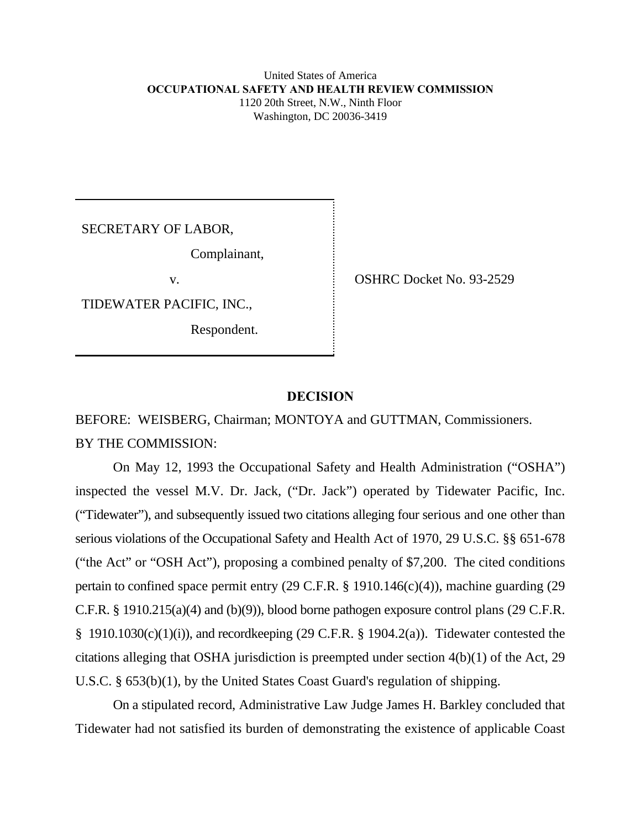#### United States of America **OCCUPATIONAL SAFETY AND HEALTH REVIEW COMMISSION** 1120 20th Street, N.W., Ninth Floor Washington, DC 20036-3419

SECRETARY OF LABOR,

Complainant,

TIDEWATER PACIFIC, INC.,

Respondent.

v. COSHRC Docket No. 93-2529

# **DECISION**

BEFORE: WEISBERG, Chairman; MONTOYA and GUTTMAN, Commissioners. BY THE COMMISSION:

On May 12, 1993 the Occupational Safety and Health Administration ("OSHA") inspected the vessel M.V. Dr. Jack, ("Dr. Jack") operated by Tidewater Pacific, Inc. ("Tidewater"), and subsequently issued two citations alleging four serious and one other than serious violations of the Occupational Safety and Health Act of 1970, 29 U.S.C. §§ 651-678 ("the Act" or "OSH Act"), proposing a combined penalty of \$7,200. The cited conditions pertain to confined space permit entry (29 C.F.R. § 1910.146(c)(4)), machine guarding (29 C.F.R. § 1910.215(a)(4) and (b)(9)), blood borne pathogen exposure control plans (29 C.F.R.  $§$  1910.1030(c)(1)(i)), and recordkeeping (29 C.F.R. § 1904.2(a)). Tidewater contested the citations alleging that OSHA jurisdiction is preempted under section 4(b)(1) of the Act, 29 U.S.C. § 653(b)(1), by the United States Coast Guard's regulation of shipping.

On a stipulated record, Administrative Law Judge James H. Barkley concluded that Tidewater had not satisfied its burden of demonstrating the existence of applicable Coast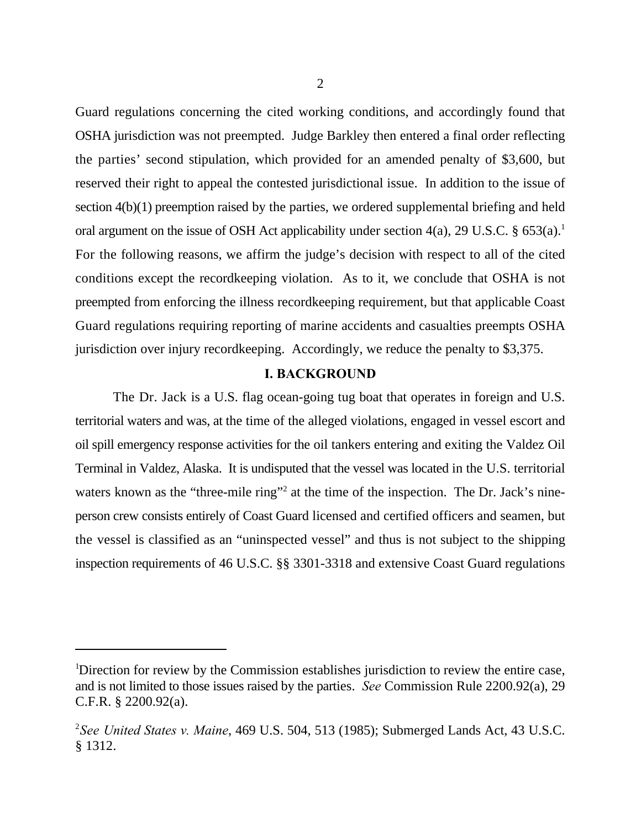Guard regulations concerning the cited working conditions, and accordingly found that OSHA jurisdiction was not preempted. Judge Barkley then entered a final order reflecting the parties' second stipulation, which provided for an amended penalty of \$3,600, but reserved their right to appeal the contested jurisdictional issue. In addition to the issue of section 4(b)(1) preemption raised by the parties, we ordered supplemental briefing and held oral argument on the issue of OSH Act applicability under section 4(a), 29 U.S.C. § 653(a).<sup>1</sup> For the following reasons, we affirm the judge's decision with respect to all of the cited conditions except the recordkeeping violation. As to it, we conclude that OSHA is not preempted from enforcing the illness recordkeeping requirement, but that applicable Coast Guard regulations requiring reporting of marine accidents and casualties preempts OSHA jurisdiction over injury recordkeeping. Accordingly, we reduce the penalty to \$3,375.

#### **I. BACKGROUND**

The Dr. Jack is a U.S. flag ocean-going tug boat that operates in foreign and U.S. territorial waters and was, at the time of the alleged violations, engaged in vessel escort and oil spill emergency response activities for the oil tankers entering and exiting the Valdez Oil Terminal in Valdez, Alaska. It is undisputed that the vessel was located in the U.S. territorial waters known as the "three-mile ring"<sup>2</sup> at the time of the inspection. The Dr. Jack's nineperson crew consists entirely of Coast Guard licensed and certified officers and seamen, but the vessel is classified as an "uninspected vessel" and thus is not subject to the shipping inspection requirements of 46 U.S.C. §§ 3301-3318 and extensive Coast Guard regulations

<sup>&</sup>lt;sup>1</sup>Direction for review by the Commission establishes jurisdiction to review the entire case, and is not limited to those issues raised by the parties. *See* Commission Rule 2200.92(a), 29 C.F.R. § 2200.92(a).

*See United States v. Maine*, 469 U.S. 504, 513 (1985); Submerged Lands Act, 43 U.S.C. 2 § 1312.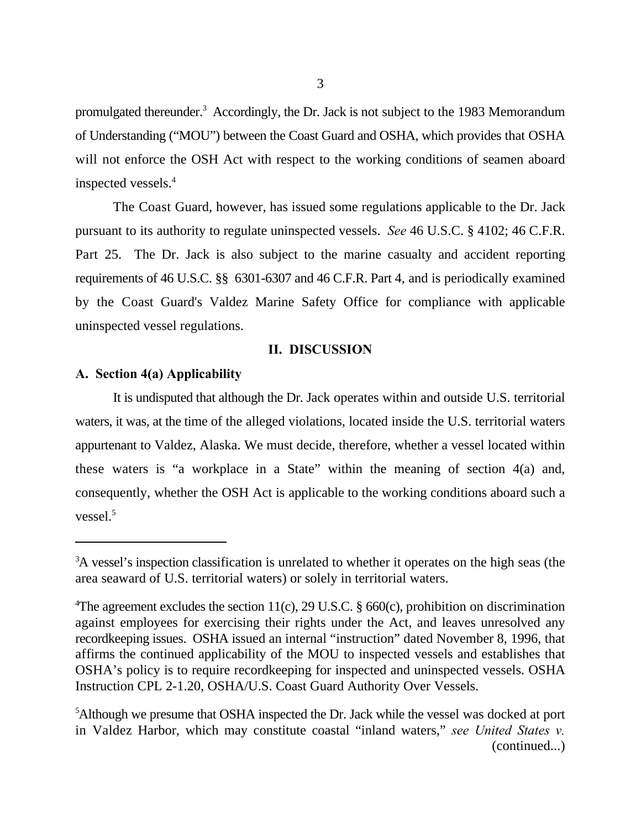promulgated thereunder.<sup>3</sup> Accordingly, the Dr. Jack is not subject to the 1983 Memorandum of Understanding ("MOU") between the Coast Guard and OSHA, which provides that OSHA will not enforce the OSH Act with respect to the working conditions of seamen aboard inspected vessels.<sup>4</sup>

The Coast Guard, however, has issued some regulations applicable to the Dr. Jack pursuant to its authority to regulate uninspected vessels. *See* 46 U.S.C. § 4102; 46 C.F.R. Part 25. The Dr. Jack is also subject to the marine casualty and accident reporting requirements of 46 U.S.C. §§ 6301-6307 and 46 C.F.R. Part 4, and is periodically examined by the Coast Guard's Valdez Marine Safety Office for compliance with applicable uninspected vessel regulations.

#### **II. DISCUSSION**

## **A. Section 4(a) Applicability**

It is undisputed that although the Dr. Jack operates within and outside U.S. territorial waters, it was, at the time of the alleged violations, located inside the U.S. territorial waters appurtenant to Valdez, Alaska. We must decide, therefore, whether a vessel located within these waters is "a workplace in a State" within the meaning of section 4(a) and, consequently, whether the OSH Act is applicable to the working conditions aboard such a vessel.<sup>5</sup>

<sup>&</sup>lt;sup>3</sup>A vessel's inspection classification is unrelated to whether it operates on the high seas (the area seaward of U.S. territorial waters) or solely in territorial waters.

<sup>&</sup>lt;sup>4</sup>The agreement excludes the section 11(c), 29 U.S.C. § 660(c), prohibition on discrimination against employees for exercising their rights under the Act, and leaves unresolved any recordkeeping issues. OSHA issued an internal "instruction" dated November 8, 1996, that affirms the continued applicability of the MOU to inspected vessels and establishes that OSHA's policy is to require recordkeeping for inspected and uninspected vessels. OSHA Instruction CPL 2-1.20, OSHA/U.S. Coast Guard Authority Over Vessels.

<sup>&</sup>lt;sup>5</sup>Although we presume that OSHA inspected the Dr. Jack while the vessel was docked at port in Valdez Harbor, which may constitute coastal "inland waters," *see United States v.* (continued...)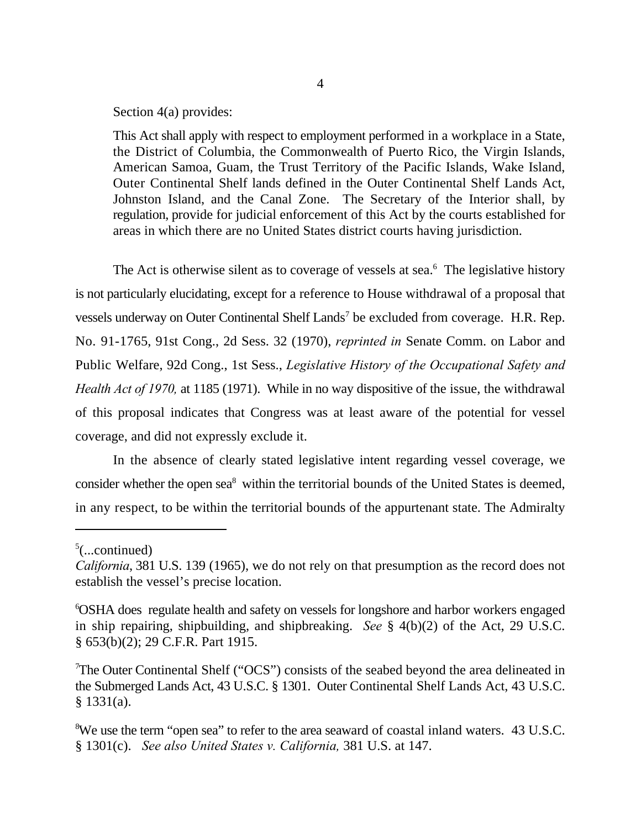Section 4(a) provides:

This Act shall apply with respect to employment performed in a workplace in a State, the District of Columbia, the Commonwealth of Puerto Rico, the Virgin Islands, American Samoa, Guam, the Trust Territory of the Pacific Islands, Wake Island, Outer Continental Shelf lands defined in the Outer Continental Shelf Lands Act, Johnston Island, and the Canal Zone. The Secretary of the Interior shall, by regulation, provide for judicial enforcement of this Act by the courts established for areas in which there are no United States district courts having jurisdiction.

The Act is otherwise silent as to coverage of vessels at sea. $<sup>6</sup>$  The legislative history</sup> is not particularly elucidating, except for a reference to House withdrawal of a proposal that vessels underway on Outer Continental Shelf Lands<sup>7</sup> be excluded from coverage. H.R. Rep. No. 91-1765, 91st Cong., 2d Sess. 32 (1970), *reprinted in* Senate Comm. on Labor and Public Welfare, 92d Cong., 1st Sess., *Legislative History of the Occupational Safety and Health Act of 1970,* at 1185 (1971). While in no way dispositive of the issue, the withdrawal of this proposal indicates that Congress was at least aware of the potential for vessel coverage, and did not expressly exclude it.

In the absence of clearly stated legislative intent regarding vessel coverage, we consider whether the open sea<sup>8</sup> within the territorial bounds of the United States is deemed, in any respect, to be within the territorial bounds of the appurtenant state. The Admiralty

 $5$ (...continued)

*California*, 381 U.S. 139 (1965), we do not rely on that presumption as the record does not establish the vessel's precise location.

OSHA does regulate health and safety on vessels for longshore and harbor workers engaged <sup>6</sup> in ship repairing, shipbuilding, and shipbreaking. *See* § 4(b)(2) of the Act, 29 U.S.C. § 653(b)(2); 29 C.F.R. Part 1915.

The Outer Continental Shelf ("OCS") consists of the seabed beyond the area delineated in <sup>7</sup> the Submerged Lands Act, 43 U.S.C. § 1301. Outer Continental Shelf Lands Act, 43 U.S.C. § 1331(a).

<sup>&</sup>lt;sup>8</sup>We use the term "open sea" to refer to the area seaward of coastal inland waters. 43 U.S.C. § 1301(c). *See also United States v. California,* 381 U.S. at 147.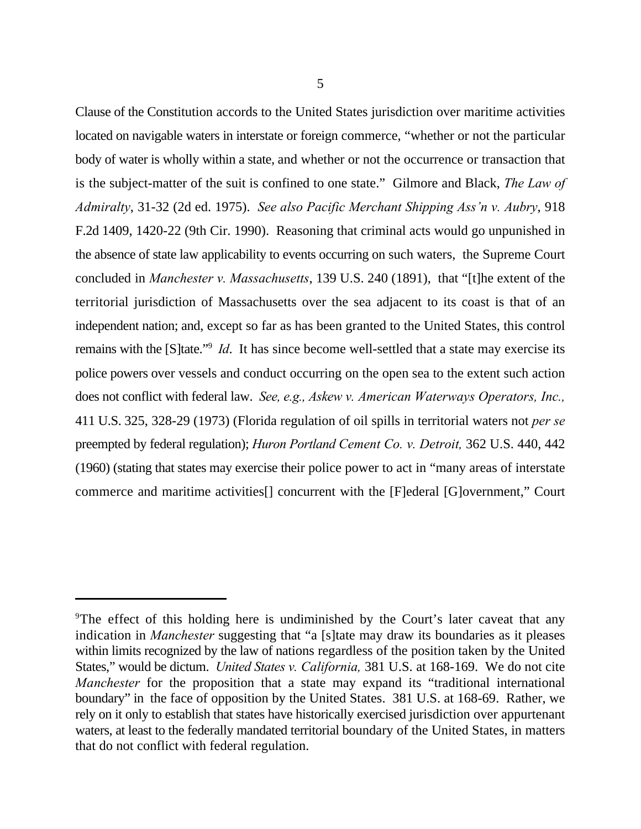Clause of the Constitution accords to the United States jurisdiction over maritime activities located on navigable waters in interstate or foreign commerce, "whether or not the particular body of water is wholly within a state, and whether or not the occurrence or transaction that is the subject-matter of the suit is confined to one state." Gilmore and Black, *The Law of Admiralty*, 31-32 (2d ed. 1975). *See also Pacific Merchant Shipping Ass'n v. Aubry*, 918 F.2d 1409, 1420-22 (9th Cir. 1990). Reasoning that criminal acts would go unpunished in the absence of state law applicability to events occurring on such waters, the Supreme Court concluded in *Manchester v. Massachusetts*, 139 U.S. 240 (1891), that "[t]he extent of the territorial jurisdiction of Massachusetts over the sea adjacent to its coast is that of an independent nation; and, except so far as has been granted to the United States, this control remains with the [S]tate."<sup>9</sup> *Id*. It has since become well-settled that a state may exercise its police powers over vessels and conduct occurring on the open sea to the extent such action does not conflict with federal law. *See, e.g., Askew v. American Waterways Operators, Inc.,* 411 U.S. 325, 328-29 (1973) (Florida regulation of oil spills in territorial waters not *per se* preempted by federal regulation); *Huron Portland Cement Co. v. Detroit,* 362 U.S. 440, 442 (1960) (stating that states may exercise their police power to act in "many areas of interstate commerce and maritime activities[] concurrent with the [F]ederal [G]overnment," Court

<sup>&</sup>lt;sup>9</sup>The effect of this holding here is undiminished by the Court's later caveat that any indication in *Manchester* suggesting that "a [s]tate may draw its boundaries as it pleases within limits recognized by the law of nations regardless of the position taken by the United States," would be dictum. *United States v. California,* 381 U.S. at 168-169. We do not cite *Manchester* for the proposition that a state may expand its "traditional international boundary" in the face of opposition by the United States. 381 U.S. at 168-69. Rather, we rely on it only to establish that states have historically exercised jurisdiction over appurtenant waters, at least to the federally mandated territorial boundary of the United States, in matters that do not conflict with federal regulation.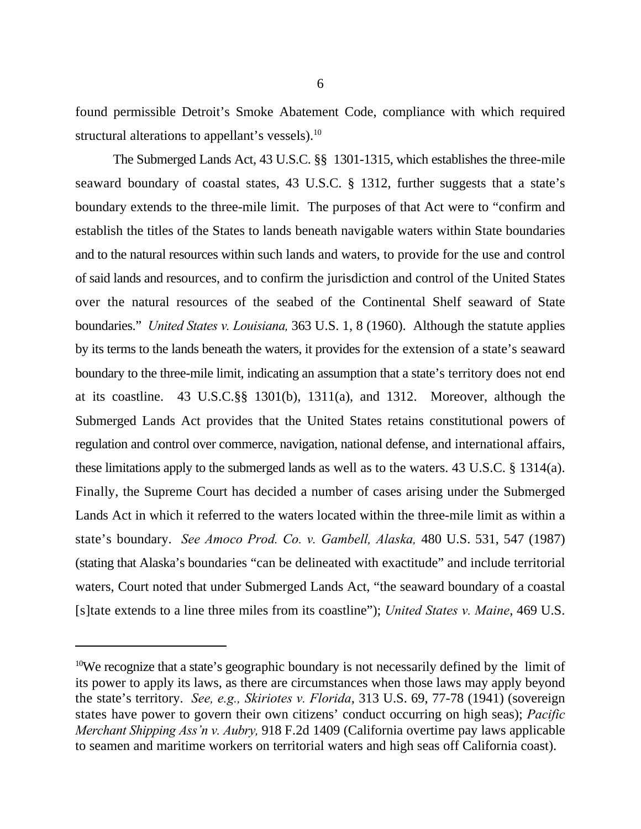found permissible Detroit's Smoke Abatement Code, compliance with which required structural alterations to appellant's vessels).<sup>10</sup>

The Submerged Lands Act, 43 U.S.C. §§ 1301-1315, which establishes the three-mile seaward boundary of coastal states, 43 U.S.C. § 1312, further suggests that a state's boundary extends to the three-mile limit. The purposes of that Act were to "confirm and establish the titles of the States to lands beneath navigable waters within State boundaries and to the natural resources within such lands and waters, to provide for the use and control of said lands and resources, and to confirm the jurisdiction and control of the United States over the natural resources of the seabed of the Continental Shelf seaward of State boundaries." *United States v. Louisiana,* 363 U.S. 1, 8 (1960). Although the statute applies by its terms to the lands beneath the waters, it provides for the extension of a state's seaward boundary to the three-mile limit, indicating an assumption that a state's territory does not end at its coastline. 43 U.S.C.§§ 1301(b), 1311(a), and 1312. Moreover, although the Submerged Lands Act provides that the United States retains constitutional powers of regulation and control over commerce, navigation, national defense, and international affairs, these limitations apply to the submerged lands as well as to the waters. 43 U.S.C. § 1314(a). Finally, the Supreme Court has decided a number of cases arising under the Submerged Lands Act in which it referred to the waters located within the three-mile limit as within a state's boundary. *See Amoco Prod. Co. v. Gambell, Alaska,* 480 U.S. 531, 547 (1987) (stating that Alaska's boundaries "can be delineated with exactitude" and include territorial waters, Court noted that under Submerged Lands Act, "the seaward boundary of a coastal [s]tate extends to a line three miles from its coastline"); *United States v. Maine*, 469 U.S.

<sup>&</sup>lt;sup>10</sup>We recognize that a state's geographic boundary is not necessarily defined by the limit of its power to apply its laws, as there are circumstances when those laws may apply beyond the state's territory. *See, e.g., Skiriotes v. Florida*, 313 U.S. 69, 77-78 (1941) (sovereign states have power to govern their own citizens' conduct occurring on high seas); *Pacific Merchant Shipping Ass'n v. Aubry,* 918 F.2d 1409 (California overtime pay laws applicable to seamen and maritime workers on territorial waters and high seas off California coast).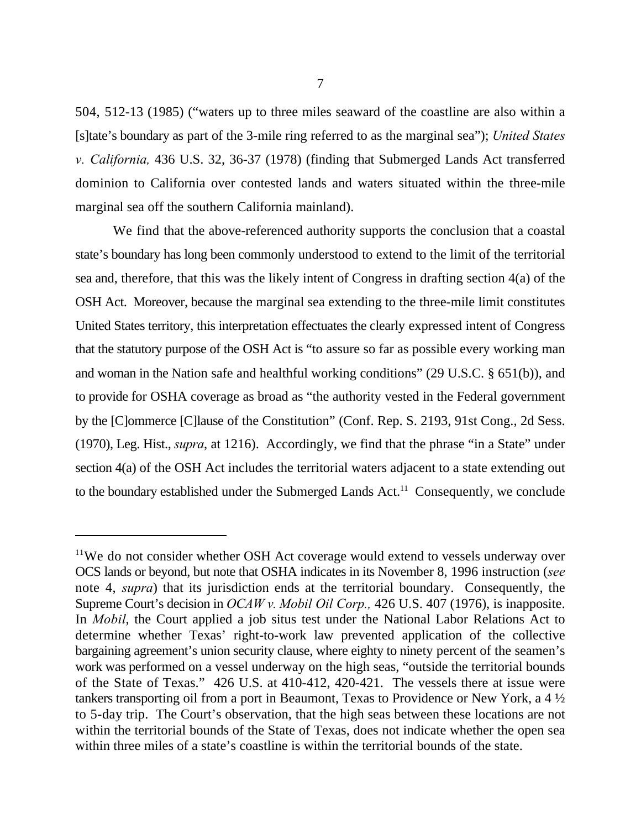504, 512-13 (1985) ("waters up to three miles seaward of the coastline are also within a [s]tate's boundary as part of the 3-mile ring referred to as the marginal sea"); *United States v. California,* 436 U.S. 32, 36-37 (1978) (finding that Submerged Lands Act transferred dominion to California over contested lands and waters situated within the three-mile marginal sea off the southern California mainland).

We find that the above-referenced authority supports the conclusion that a coastal state's boundary has long been commonly understood to extend to the limit of the territorial sea and, therefore, that this was the likely intent of Congress in drafting section 4(a) of the OSH Act. Moreover, because the marginal sea extending to the three-mile limit constitutes United States territory, this interpretation effectuates the clearly expressed intent of Congress that the statutory purpose of the OSH Act is "to assure so far as possible every working man and woman in the Nation safe and healthful working conditions" (29 U.S.C. § 651(b)), and to provide for OSHA coverage as broad as "the authority vested in the Federal government by the [C]ommerce [C]lause of the Constitution" (Conf. Rep. S. 2193, 91st Cong., 2d Sess. (1970), Leg. Hist., *supra*, at 1216). Accordingly, we find that the phrase "in a State" under section 4(a) of the OSH Act includes the territorial waters adjacent to a state extending out to the boundary established under the Submerged Lands  $Act.$ <sup>11</sup> Consequently, we conclude

<sup>&</sup>lt;sup>11</sup>We do not consider whether OSH Act coverage would extend to vessels underway over OCS lands or beyond, but note that OSHA indicates in its November 8, 1996 instruction (*see* note 4, *supra*) that its jurisdiction ends at the territorial boundary. Consequently, the Supreme Court's decision in *OCAW v. Mobil Oil Corp.,* 426 U.S. 407 (1976), is inapposite. In *Mobil*, the Court applied a job situs test under the National Labor Relations Act to determine whether Texas' right-to-work law prevented application of the collective bargaining agreement's union security clause, where eighty to ninety percent of the seamen's work was performed on a vessel underway on the high seas, "outside the territorial bounds of the State of Texas." 426 U.S. at 410-412, 420-421. The vessels there at issue were tankers transporting oil from a port in Beaumont, Texas to Providence or New York, a 4 ½ to 5-day trip. The Court's observation, that the high seas between these locations are not within the territorial bounds of the State of Texas, does not indicate whether the open sea within three miles of a state's coastline is within the territorial bounds of the state.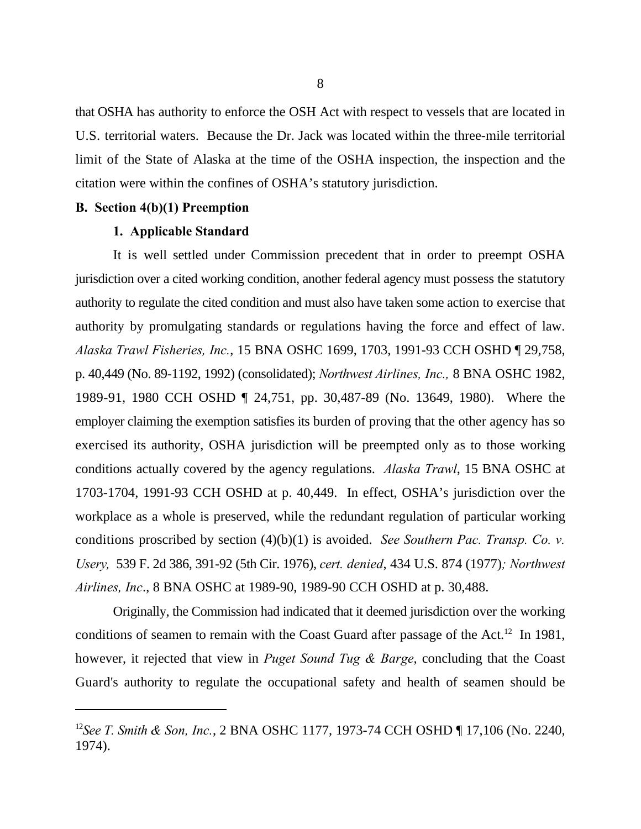that OSHA has authority to enforce the OSH Act with respect to vessels that are located in U.S. territorial waters. Because the Dr. Jack was located within the three-mile territorial limit of the State of Alaska at the time of the OSHA inspection, the inspection and the citation were within the confines of OSHA's statutory jurisdiction.

## **B. Section 4(b)(1) Preemption**

## **1. Applicable Standard**

It is well settled under Commission precedent that in order to preempt OSHA jurisdiction over a cited working condition, another federal agency must possess the statutory authority to regulate the cited condition and must also have taken some action to exercise that authority by promulgating standards or regulations having the force and effect of law. *Alaska Trawl Fisheries, Inc.*, 15 BNA OSHC 1699, 1703, 1991-93 CCH OSHD ¶ 29,758, p. 40,449 (No. 89-1192, 1992) (consolidated); *Northwest Airlines, Inc.,* 8 BNA OSHC 1982, 1989-91, 1980 CCH OSHD ¶ 24,751, pp. 30,487-89 (No. 13649, 1980). Where the employer claiming the exemption satisfies its burden of proving that the other agency has so exercised its authority, OSHA jurisdiction will be preempted only as to those working conditions actually covered by the agency regulations. *Alaska Trawl*, 15 BNA OSHC at 1703-1704, 1991-93 CCH OSHD at p. 40,449. In effect, OSHA's jurisdiction over the workplace as a whole is preserved, while the redundant regulation of particular working conditions proscribed by section (4)(b)(1) is avoided. *See Southern Pac. Transp. Co. v. Usery,* 539 F. 2d 386, 391-92 (5th Cir. 1976), *cert. denied*, 434 U.S. 874 (1977)*; Northwest Airlines, Inc*., 8 BNA OSHC at 1989-90, 1989-90 CCH OSHD at p. 30,488.

Originally, the Commission had indicated that it deemed jurisdiction over the working conditions of seamen to remain with the Coast Guard after passage of the Act.<sup>12</sup> In 1981, however, it rejected that view in *Puget Sound Tug & Barge*, concluding that the Coast Guard's authority to regulate the occupational safety and health of seamen should be

<sup>&</sup>lt;sup>12</sup>See T. Smith & Son, Inc., 2 BNA OSHC 1177, 1973-74 CCH OSHD ¶ 17,106 (No. 2240, 1974).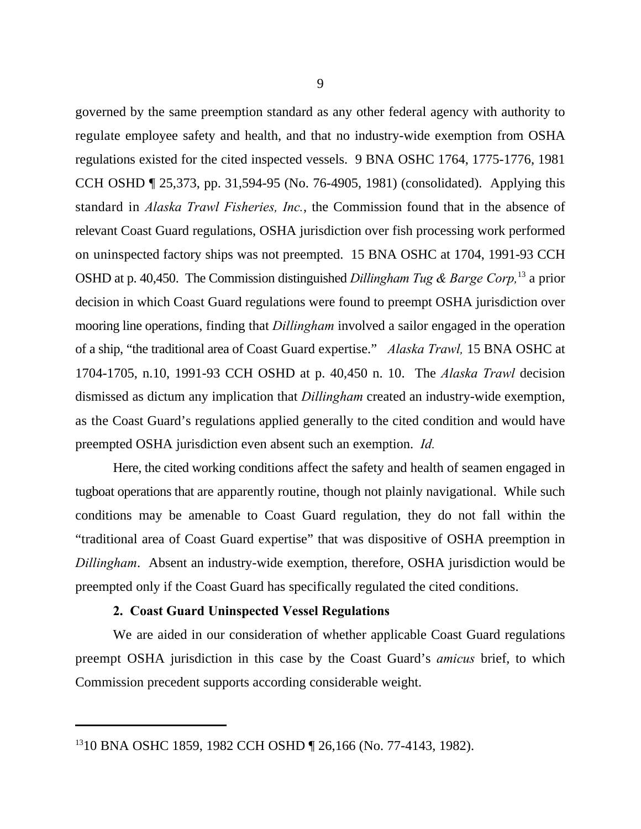governed by the same preemption standard as any other federal agency with authority to regulate employee safety and health, and that no industry-wide exemption from OSHA regulations existed for the cited inspected vessels. 9 BNA OSHC 1764, 1775-1776, 1981 CCH OSHD ¶ 25,373, pp. 31,594-95 (No. 76-4905, 1981) (consolidated). Applying this standard in *Alaska Trawl Fisheries, Inc.*, the Commission found that in the absence of relevant Coast Guard regulations, OSHA jurisdiction over fish processing work performed on uninspected factory ships was not preempted. 15 BNA OSHC at 1704, 1991-93 CCH OSHD at p. 40,450. The Commission distinguished *Dillingham Tug & Barge Corp*,<sup>13</sup> a prior decision in which Coast Guard regulations were found to preempt OSHA jurisdiction over mooring line operations, finding that *Dillingham* involved a sailor engaged in the operation of a ship, "the traditional area of Coast Guard expertise." *Alaska Trawl,* 15 BNA OSHC at 1704-1705, n.10, 1991-93 CCH OSHD at p. 40,450 n. 10. The *Alaska Trawl* decision dismissed as dictum any implication that *Dillingham* created an industry-wide exemption, as the Coast Guard's regulations applied generally to the cited condition and would have preempted OSHA jurisdiction even absent such an exemption. *Id.*

Here, the cited working conditions affect the safety and health of seamen engaged in tugboat operations that are apparently routine, though not plainly navigational. While such conditions may be amenable to Coast Guard regulation, they do not fall within the "traditional area of Coast Guard expertise" that was dispositive of OSHA preemption in *Dillingham*. Absent an industry-wide exemption, therefore, OSHA jurisdiction would be preempted only if the Coast Guard has specifically regulated the cited conditions.

## **2. Coast Guard Uninspected Vessel Regulations**

We are aided in our consideration of whether applicable Coast Guard regulations preempt OSHA jurisdiction in this case by the Coast Guard's *amicus* brief, to which Commission precedent supports according considerable weight.

<sup>&</sup>lt;sup>13</sup>10 BNA OSHC 1859, 1982 CCH OSHD ¶ 26,166 (No. 77-4143, 1982).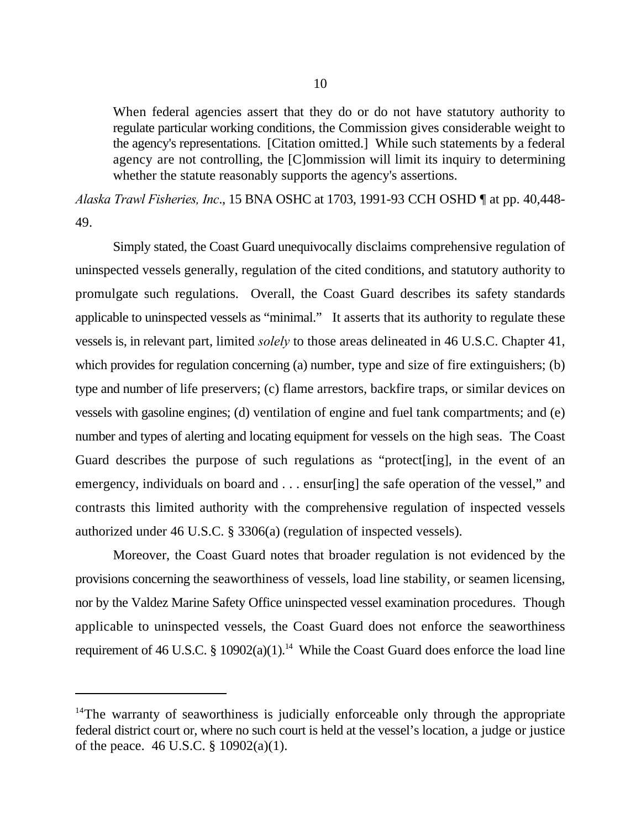When federal agencies assert that they do or do not have statutory authority to regulate particular working conditions, the Commission gives considerable weight to the agency's representations. [Citation omitted.] While such statements by a federal agency are not controlling, the [C]ommission will limit its inquiry to determining whether the statute reasonably supports the agency's assertions.

*Alaska Trawl Fisheries, Inc*., 15 BNA OSHC at 1703, 1991-93 CCH OSHD ¶ at pp. 40,448- 49.

Simply stated, the Coast Guard unequivocally disclaims comprehensive regulation of uninspected vessels generally, regulation of the cited conditions, and statutory authority to promulgate such regulations. Overall, the Coast Guard describes its safety standards applicable to uninspected vessels as "minimal." It asserts that its authority to regulate these vessels is, in relevant part, limited *solely* to those areas delineated in 46 U.S.C. Chapter 41, which provides for regulation concerning (a) number, type and size of fire extinguishers; (b) type and number of life preservers; (c) flame arrestors, backfire traps, or similar devices on vessels with gasoline engines; (d) ventilation of engine and fuel tank compartments; and (e) number and types of alerting and locating equipment for vessels on the high seas. The Coast Guard describes the purpose of such regulations as "protect[ing], in the event of an emergency, individuals on board and . . . ensur[ing] the safe operation of the vessel," and contrasts this limited authority with the comprehensive regulation of inspected vessels authorized under 46 U.S.C. § 3306(a) (regulation of inspected vessels).

Moreover, the Coast Guard notes that broader regulation is not evidenced by the provisions concerning the seaworthiness of vessels, load line stability, or seamen licensing, nor by the Valdez Marine Safety Office uninspected vessel examination procedures. Though applicable to uninspected vessels, the Coast Guard does not enforce the seaworthiness requirement of 46 U.S.C. § 10902(a)(1).<sup>14</sup> While the Coast Guard does enforce the load line

 $14$ The warranty of seaworthiness is judicially enforceable only through the appropriate federal district court or, where no such court is held at the vessel's location, a judge or justice of the peace. 46 U.S.C. § 10902(a)(1).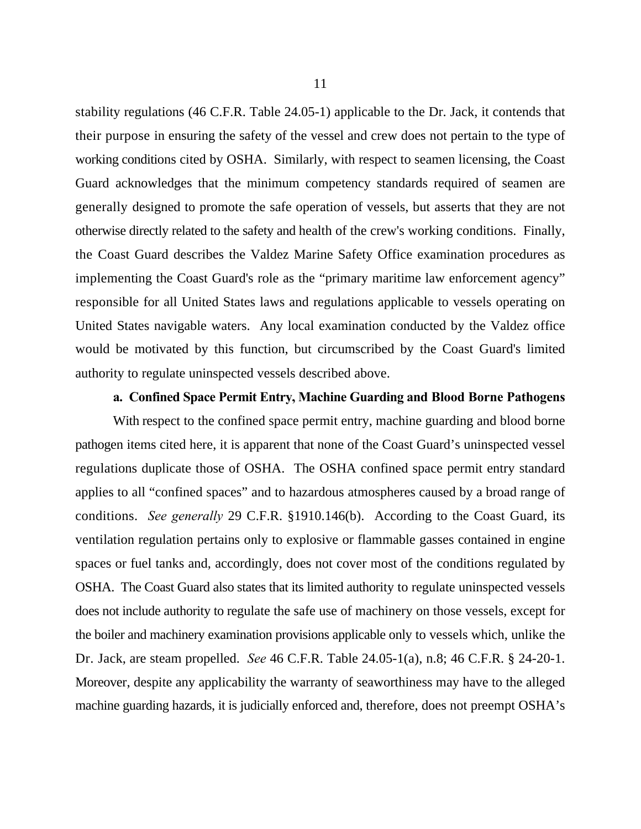stability regulations (46 C.F.R. Table 24.05-1) applicable to the Dr. Jack, it contends that their purpose in ensuring the safety of the vessel and crew does not pertain to the type of working conditions cited by OSHA. Similarly, with respect to seamen licensing, the Coast Guard acknowledges that the minimum competency standards required of seamen are generally designed to promote the safe operation of vessels, but asserts that they are not otherwise directly related to the safety and health of the crew's working conditions. Finally, the Coast Guard describes the Valdez Marine Safety Office examination procedures as implementing the Coast Guard's role as the "primary maritime law enforcement agency" responsible for all United States laws and regulations applicable to vessels operating on United States navigable waters. Any local examination conducted by the Valdez office would be motivated by this function, but circumscribed by the Coast Guard's limited authority to regulate uninspected vessels described above.

## **a. Confined Space Permit Entry, Machine Guarding and Blood Borne Pathogens**

With respect to the confined space permit entry, machine guarding and blood borne pathogen items cited here, it is apparent that none of the Coast Guard's uninspected vessel regulations duplicate those of OSHA. The OSHA confined space permit entry standard applies to all "confined spaces" and to hazardous atmospheres caused by a broad range of conditions. *See generally* 29 C.F.R. §1910.146(b). According to the Coast Guard, its ventilation regulation pertains only to explosive or flammable gasses contained in engine spaces or fuel tanks and, accordingly, does not cover most of the conditions regulated by OSHA. The Coast Guard also states that its limited authority to regulate uninspected vessels does not include authority to regulate the safe use of machinery on those vessels, except for the boiler and machinery examination provisions applicable only to vessels which, unlike the Dr. Jack, are steam propelled. *See* 46 C.F.R. Table 24.05-1(a), n.8; 46 C.F.R. § 24-20-1. Moreover, despite any applicability the warranty of seaworthiness may have to the alleged machine guarding hazards, it is judicially enforced and, therefore, does not preempt OSHA's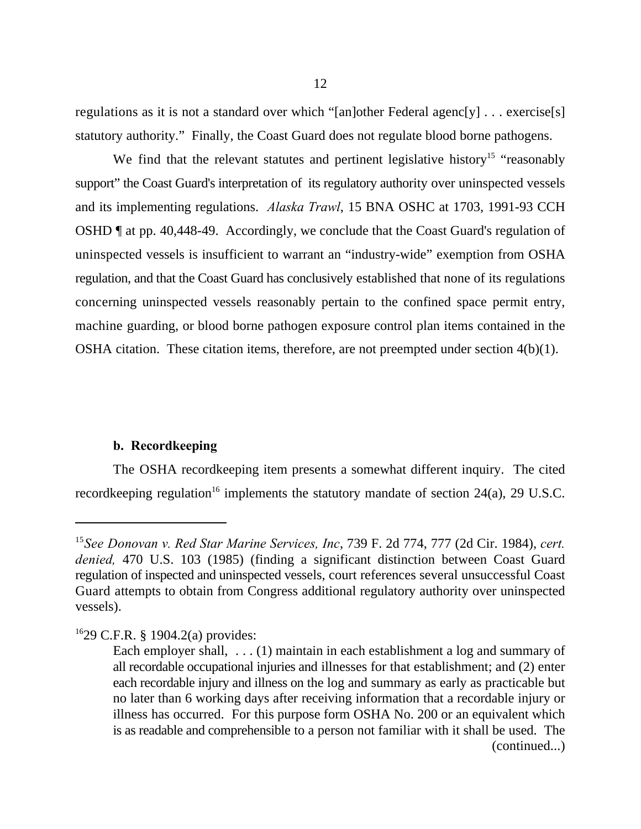regulations as it is not a standard over which "[an]other Federal agenc[y] . . . exercise[s] statutory authority." Finally, the Coast Guard does not regulate blood borne pathogens.

We find that the relevant statutes and pertinent legislative history<sup>15</sup> "reasonably support" the Coast Guard's interpretation of its regulatory authority over uninspected vessels and its implementing regulations. *Alaska Trawl*, 15 BNA OSHC at 1703, 1991-93 CCH OSHD ¶ at pp. 40,448-49. Accordingly, we conclude that the Coast Guard's regulation of uninspected vessels is insufficient to warrant an "industry-wide" exemption from OSHA regulation, and that the Coast Guard has conclusively established that none of its regulations concerning uninspected vessels reasonably pertain to the confined space permit entry, machine guarding, or blood borne pathogen exposure control plan items contained in the OSHA citation. These citation items, therefore, are not preempted under section 4(b)(1).

## **b. Recordkeeping**

The OSHA recordkeeping item presents a somewhat different inquiry. The cited recordkeeping regulation<sup>16</sup> implements the statutory mandate of section  $24(a)$ , 29 U.S.C.

<sup>&</sup>lt;sup>15</sup> See Donovan v. Red Star Marine Services, Inc, 739 F. 2d 774, 777 (2d Cir. 1984), cert. *denied,* 470 U.S. 103 (1985) (finding a significant distinction between Coast Guard regulation of inspected and uninspected vessels, court references several unsuccessful Coast Guard attempts to obtain from Congress additional regulatory authority over uninspected vessels).

 $1629$  C.F.R. § 1904.2(a) provides:

Each employer shall,  $\dots$  (1) maintain in each establishment a log and summary of all recordable occupational injuries and illnesses for that establishment; and (2) enter each recordable injury and illness on the log and summary as early as practicable but no later than 6 working days after receiving information that a recordable injury or illness has occurred. For this purpose form OSHA No. 200 or an equivalent which is as readable and comprehensible to a person not familiar with it shall be used. The (continued...)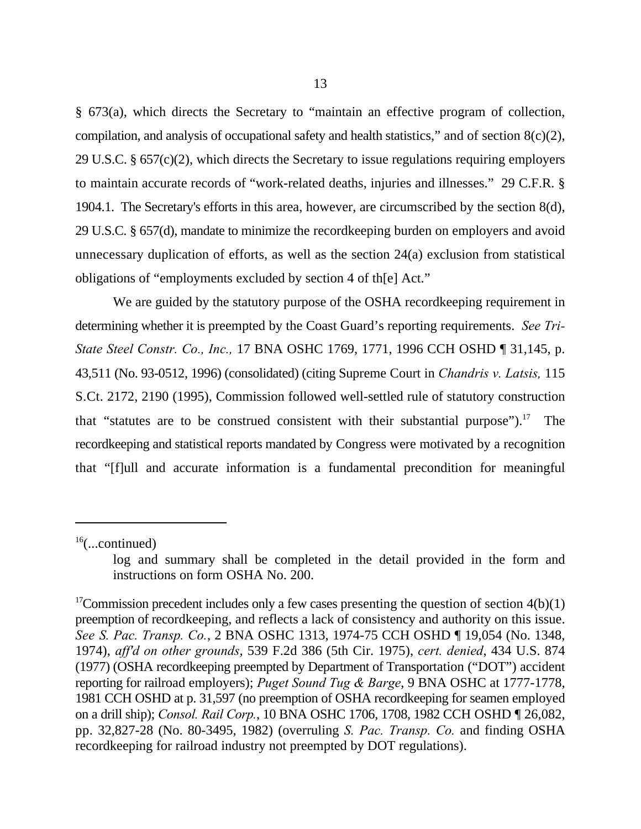§ 673(a), which directs the Secretary to "maintain an effective program of collection, compilation, and analysis of occupational safety and health statistics," and of section  $8(c)(2)$ , 29 U.S.C. § 657(c)(2), which directs the Secretary to issue regulations requiring employers to maintain accurate records of "work-related deaths, injuries and illnesses." 29 C.F.R. § 1904.1. The Secretary's efforts in this area, however, are circumscribed by the section 8(d), 29 U.S.C. § 657(d), mandate to minimize the recordkeeping burden on employers and avoid unnecessary duplication of efforts, as well as the section 24(a) exclusion from statistical obligations of "employments excluded by section 4 of th[e] Act."

We are guided by the statutory purpose of the OSHA recordkeeping requirement in determining whether it is preempted by the Coast Guard's reporting requirements. *See Tri-State Steel Constr. Co., Inc.,* 17 BNA OSHC 1769, 1771, 1996 CCH OSHD ¶ 31,145, p. 43,511 (No. 93-0512, 1996) (consolidated) (citing Supreme Court in *Chandris v. Latsis,* 115 S.Ct. 2172, 2190 (1995), Commission followed well-settled rule of statutory construction that "statutes are to be construed consistent with their substantial purpose").<sup>17</sup> The recordkeeping and statistical reports mandated by Congress were motivated by a recognition that "[f]ull and accurate information is a fundamental precondition for meaningful

 $16$ (...continued)

log and summary shall be completed in the detail provided in the form and instructions on form OSHA No. 200.

<sup>&</sup>lt;sup>17</sup>Commission precedent includes only a few cases presenting the question of section  $4(b)(1)$ preemption of recordkeeping, and reflects a lack of consistency and authority on this issue. *See S. Pac. Transp. Co.*, 2 BNA OSHC 1313, 1974-75 CCH OSHD ¶ 19,054 (No. 1348, 1974), *aff'd on other grounds*, 539 F.2d 386 (5th Cir. 1975), *cert. denied*, 434 U.S. 874 (1977) (OSHA recordkeeping preempted by Department of Transportation ("DOT") accident reporting for railroad employers); *Puget Sound Tug & Barge*, 9 BNA OSHC at 1777-1778, 1981 CCH OSHD at p. 31,597 (no preemption of OSHA recordkeeping for seamen employed on a drill ship); *Consol. Rail Corp.*, 10 BNA OSHC 1706, 1708, 1982 CCH OSHD ¶ 26,082, pp. 32,827-28 (No. 80-3495, 1982) (overruling *S. Pac. Transp. Co.* and finding OSHA recordkeeping for railroad industry not preempted by DOT regulations).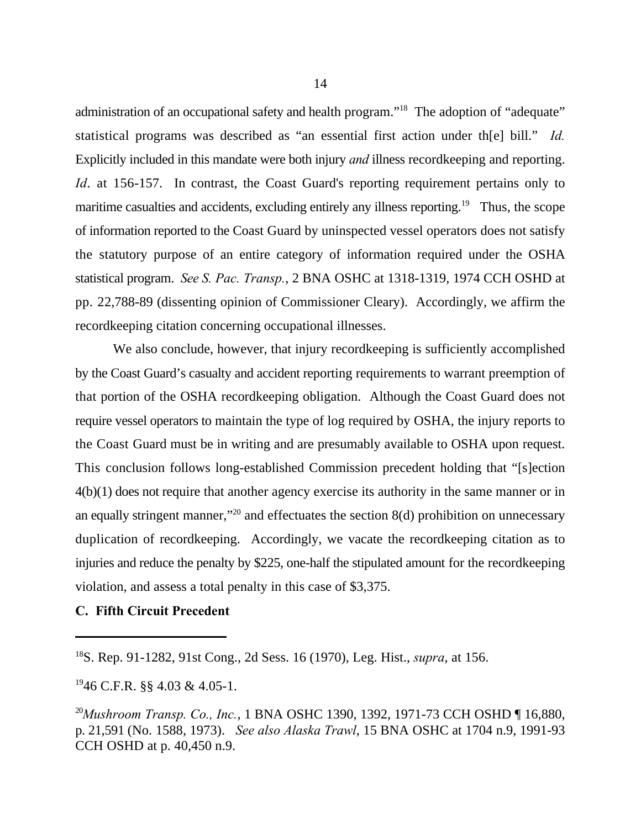administration of an occupational safety and health program."<sup>18</sup> The adoption of "adequate" statistical programs was described as "an essential first action under th[e] bill." *Id.* Explicitly included in this mandate were both injury *and* illness recordkeeping and reporting. *Id.* at 156-157. In contrast, the Coast Guard's reporting requirement pertains only to maritime casualties and accidents, excluding entirely any illness reporting.<sup>19</sup> Thus, the scope of information reported to the Coast Guard by uninspected vessel operators does not satisfy the statutory purpose of an entire category of information required under the OSHA statistical program. *See S. Pac. Transp.*, 2 BNA OSHC at 1318-1319, 1974 CCH OSHD at pp. 22,788-89 (dissenting opinion of Commissioner Cleary). Accordingly, we affirm the recordkeeping citation concerning occupational illnesses.

We also conclude, however, that injury recordkeeping is sufficiently accomplished by the Coast Guard's casualty and accident reporting requirements to warrant preemption of that portion of the OSHA recordkeeping obligation. Although the Coast Guard does not require vessel operators to maintain the type of log required by OSHA, the injury reports to the Coast Guard must be in writing and are presumably available to OSHA upon request. This conclusion follows long-established Commission precedent holding that "[s]ection 4(b)(1) does not require that another agency exercise its authority in the same manner or in an equally stringent manner,"<sup>20</sup> and effectuates the section  $8(d)$  prohibition on unnecessary duplication of recordkeeping. Accordingly, we vacate the recordkeeping citation as to injuries and reduce the penalty by \$225, one-half the stipulated amount for the recordkeeping violation, and assess a total penalty in this case of \$3,375.

## **C. Fifth Circuit Precedent**

 $^{19}$ 46 C.F.R. §§ 4.03 & 4.05-1.

<sup>&</sup>lt;sup>18</sup>S. Rep. 91-1282, 91st Cong., 2d Sess. 16 (1970), Leg. Hist., *supra*, at 156.

<sup>&</sup>lt;sup>20</sup>Mushroom Transp. Co., Inc., 1 BNA OSHC 1390, 1392, 1971-73 CCH OSHD [16,880, p. 21,591 (No. 1588, 1973). *See also Alaska Trawl*, 15 BNA OSHC at 1704 n.9, 1991-93 CCH OSHD at p. 40,450 n.9.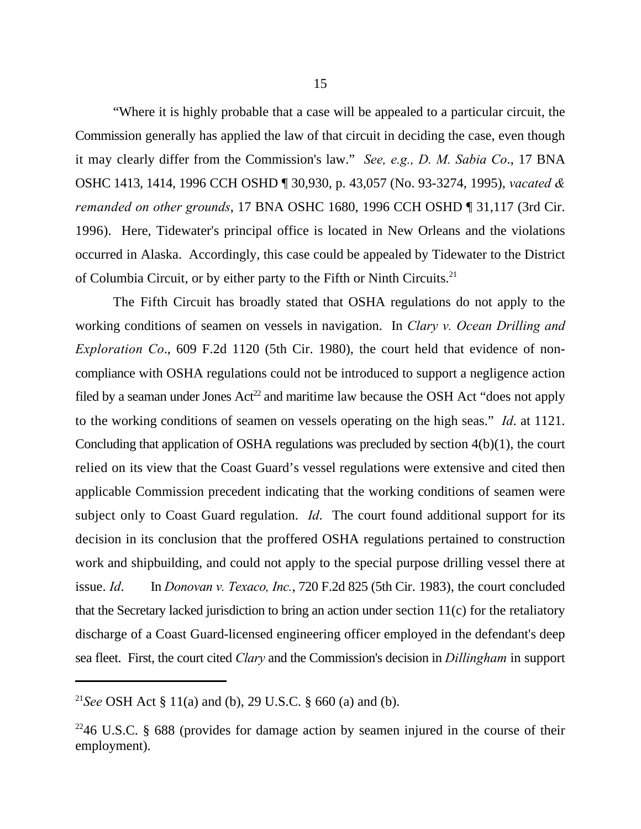"Where it is highly probable that a case will be appealed to a particular circuit, the Commission generally has applied the law of that circuit in deciding the case, even though it may clearly differ from the Commission's law." *See, e.g., D. M. Sabia Co*., 17 BNA OSHC 1413, 1414, 1996 CCH OSHD ¶ 30,930, p. 43,057 (No. 93-3274, 1995), *vacated & remanded on other grounds*, 17 BNA OSHC 1680, 1996 CCH OSHD ¶ 31,117 (3rd Cir. 1996). Here, Tidewater's principal office is located in New Orleans and the violations occurred in Alaska. Accordingly, this case could be appealed by Tidewater to the District of Columbia Circuit, or by either party to the Fifth or Ninth Circuits.<sup>21</sup>

The Fifth Circuit has broadly stated that OSHA regulations do not apply to the working conditions of seamen on vessels in navigation. In *Clary v. Ocean Drilling and Exploration Co*., 609 F.2d 1120 (5th Cir. 1980), the court held that evidence of noncompliance with OSHA regulations could not be introduced to support a negligence action filed by a seaman under Jones  $Act^{22}$  and maritime law because the OSH Act "does not apply to the working conditions of seamen on vessels operating on the high seas." *Id*. at 1121. Concluding that application of OSHA regulations was precluded by section 4(b)(1), the court relied on its view that the Coast Guard's vessel regulations were extensive and cited then applicable Commission precedent indicating that the working conditions of seamen were subject only to Coast Guard regulation. *Id*. The court found additional support for its decision in its conclusion that the proffered OSHA regulations pertained to construction work and shipbuilding, and could not apply to the special purpose drilling vessel there at issue. *Id*. In *Donovan v. Texaco, Inc.*, 720 F.2d 825 (5th Cir. 1983), the court concluded that the Secretary lacked jurisdiction to bring an action under section 11(c) for the retaliatory discharge of a Coast Guard-licensed engineering officer employed in the defendant's deep sea fleet. First, the court cited *Clary* and the Commission's decision in *Dillingham* in support

<sup>&</sup>lt;sup>21</sup>See OSH Act § 11(a) and (b), 29 U.S.C. § 660 (a) and (b).

 $2246$  U.S.C. § 688 (provides for damage action by seamen injured in the course of their employment).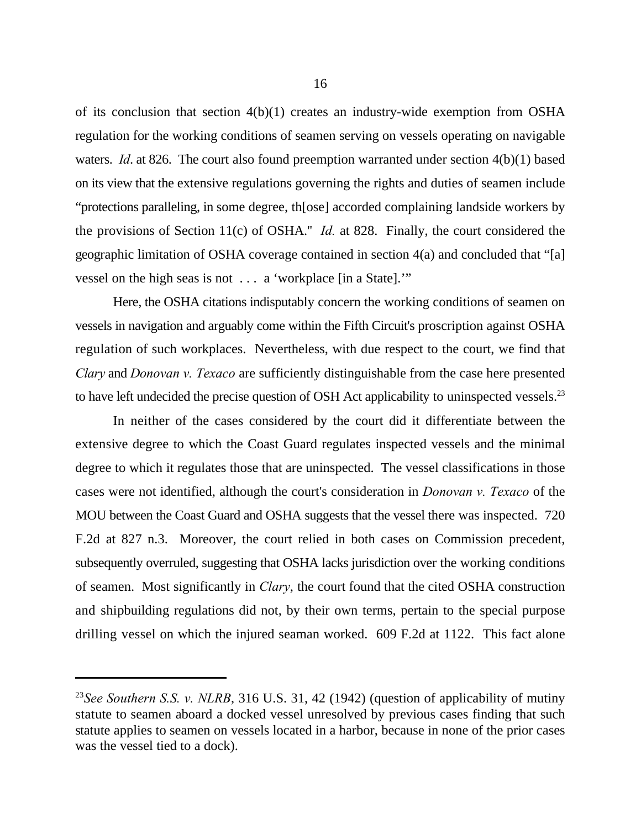of its conclusion that section 4(b)(1) creates an industry-wide exemption from OSHA regulation for the working conditions of seamen serving on vessels operating on navigable waters. *Id.* at 826. The court also found preemption warranted under section 4(b)(1) based on its view that the extensive regulations governing the rights and duties of seamen include "protections paralleling, in some degree, th[ose] accorded complaining landside workers by the provisions of Section 11(c) of OSHA.'' *Id.* at 828. Finally, the court considered the geographic limitation of OSHA coverage contained in section 4(a) and concluded that "[a] vessel on the high seas is not . . . a 'workplace [in a State].'"

Here, the OSHA citations indisputably concern the working conditions of seamen on vessels in navigation and arguably come within the Fifth Circuit's proscription against OSHA regulation of such workplaces. Nevertheless, with due respect to the court, we find that *Clary* and *Donovan v. Texaco* are sufficiently distinguishable from the case here presented to have left undecided the precise question of OSH Act applicability to uninspected vessels.<sup>23</sup>

In neither of the cases considered by the court did it differentiate between the extensive degree to which the Coast Guard regulates inspected vessels and the minimal degree to which it regulates those that are uninspected. The vessel classifications in those cases were not identified, although the court's consideration in *Donovan v. Texaco* of the MOU between the Coast Guard and OSHA suggests that the vessel there was inspected. 720 F.2d at 827 n.3. Moreover, the court relied in both cases on Commission precedent, subsequently overruled, suggesting that OSHA lacks jurisdiction over the working conditions of seamen. Most significantly in *Clary*, the court found that the cited OSHA construction and shipbuilding regulations did not, by their own terms, pertain to the special purpose drilling vessel on which the injured seaman worked. 609 F.2d at 1122. This fact alone

<sup>&</sup>lt;sup>23</sup> See Southern S.S. v. NLRB, 316 U.S. 31, 42 (1942) (question of applicability of mutiny statute to seamen aboard a docked vessel unresolved by previous cases finding that such statute applies to seamen on vessels located in a harbor, because in none of the prior cases was the vessel tied to a dock).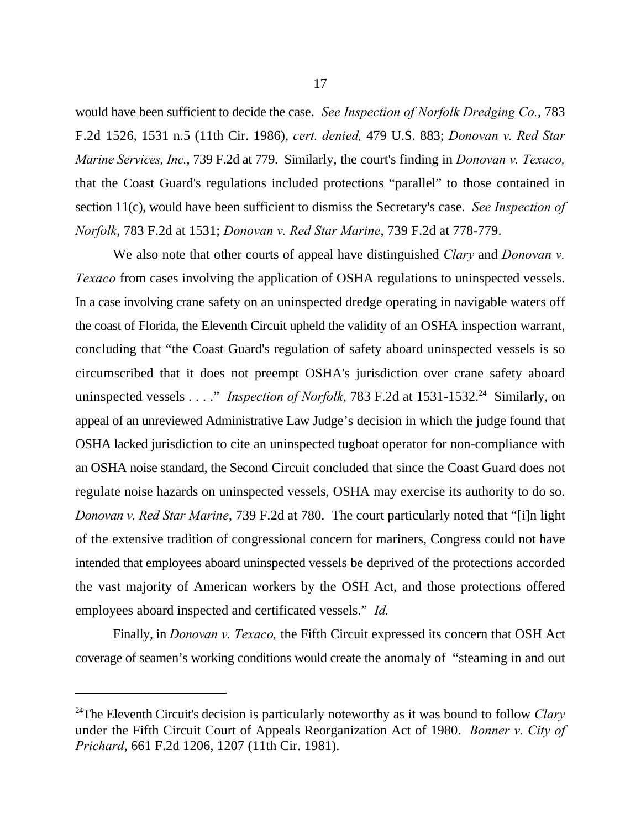would have been sufficient to decide the case. *See Inspection of Norfolk Dredging Co.*, 783 F.2d 1526, 1531 n.5 (11th Cir. 1986), *cert. denied,* 479 U.S. 883; *Donovan v. Red Star Marine Services, Inc.*, 739 F.2d at 779. Similarly, the court's finding in *Donovan v. Texaco,* that the Coast Guard's regulations included protections "parallel" to those contained in section 11(c), would have been sufficient to dismiss the Secretary's case. *See Inspection of Norfolk*, 783 F.2d at 1531; *Donovan v. Red Star Marine*, 739 F.2d at 778-779.

We also note that other courts of appeal have distinguished *Clary* and *Donovan v. Texaco* from cases involving the application of OSHA regulations to uninspected vessels. In a case involving crane safety on an uninspected dredge operating in navigable waters off the coast of Florida, the Eleventh Circuit upheld the validity of an OSHA inspection warrant, concluding that "the Coast Guard's regulation of safety aboard uninspected vessels is so circumscribed that it does not preempt OSHA's jurisdiction over crane safety aboard uninspected vessels . . . ." *Inspection of Norfolk*, 783 F.2d at 1531-1532.<sup>24</sup> Similarly, on appeal of an unreviewed Administrative Law Judge's decision in which the judge found that OSHA lacked jurisdiction to cite an uninspected tugboat operator for non-compliance with an OSHA noise standard, the Second Circuit concluded that since the Coast Guard does not regulate noise hazards on uninspected vessels, OSHA may exercise its authority to do so. *Donovan v. Red Star Marine*, 739 F.2d at 780. The court particularly noted that "[i]n light of the extensive tradition of congressional concern for mariners, Congress could not have intended that employees aboard uninspected vessels be deprived of the protections accorded the vast majority of American workers by the OSH Act, and those protections offered employees aboard inspected and certificated vessels." *Id.*

Finally, in *Donovan v. Texaco,* the Fifth Circuit expressed its concern that OSH Act coverage of seamen's working conditions would create the anomaly of "steaming in and out

<sup>&</sup>lt;sup>24</sup>The Eleventh Circuit's decision is particularly noteworthy as it was bound to follow *Clary* under the Fifth Circuit Court of Appeals Reorganization Act of 1980. *Bonner v. City of Prichard*, 661 F.2d 1206, 1207 (11th Cir. 1981).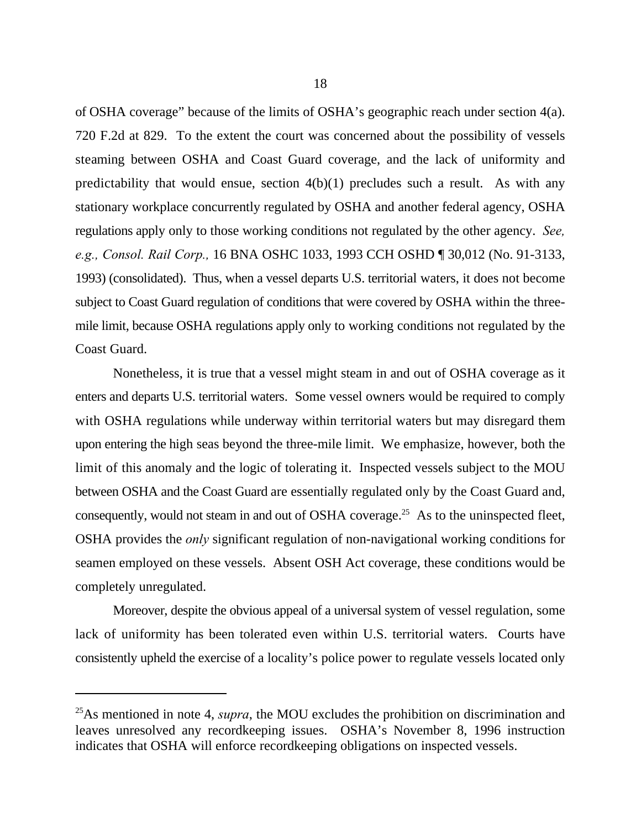of OSHA coverage" because of the limits of OSHA's geographic reach under section 4(a). 720 F.2d at 829. To the extent the court was concerned about the possibility of vessels steaming between OSHA and Coast Guard coverage, and the lack of uniformity and predictability that would ensue, section  $4(b)(1)$  precludes such a result. As with any stationary workplace concurrently regulated by OSHA and another federal agency, OSHA regulations apply only to those working conditions not regulated by the other agency. *See, e.g., Consol. Rail Corp.,* 16 BNA OSHC 1033, 1993 CCH OSHD ¶ 30,012 (No. 91-3133, 1993) (consolidated). Thus, when a vessel departs U.S. territorial waters, it does not become subject to Coast Guard regulation of conditions that were covered by OSHA within the threemile limit, because OSHA regulations apply only to working conditions not regulated by the Coast Guard.

Nonetheless, it is true that a vessel might steam in and out of OSHA coverage as it enters and departs U.S. territorial waters. Some vessel owners would be required to comply with OSHA regulations while underway within territorial waters but may disregard them upon entering the high seas beyond the three-mile limit. We emphasize, however, both the limit of this anomaly and the logic of tolerating it. Inspected vessels subject to the MOU between OSHA and the Coast Guard are essentially regulated only by the Coast Guard and, consequently, would not steam in and out of OSHA coverage.<sup>25</sup> As to the uninspected fleet, OSHA provides the *only* significant regulation of non-navigational working conditions for seamen employed on these vessels. Absent OSH Act coverage, these conditions would be completely unregulated.

Moreover, despite the obvious appeal of a universal system of vessel regulation, some lack of uniformity has been tolerated even within U.S. territorial waters. Courts have consistently upheld the exercise of a locality's police power to regulate vessels located only

 $^{25}$ As mentioned in note 4, *supra*, the MOU excludes the prohibition on discrimination and leaves unresolved any recordkeeping issues. OSHA's November 8, 1996 instruction indicates that OSHA will enforce recordkeeping obligations on inspected vessels.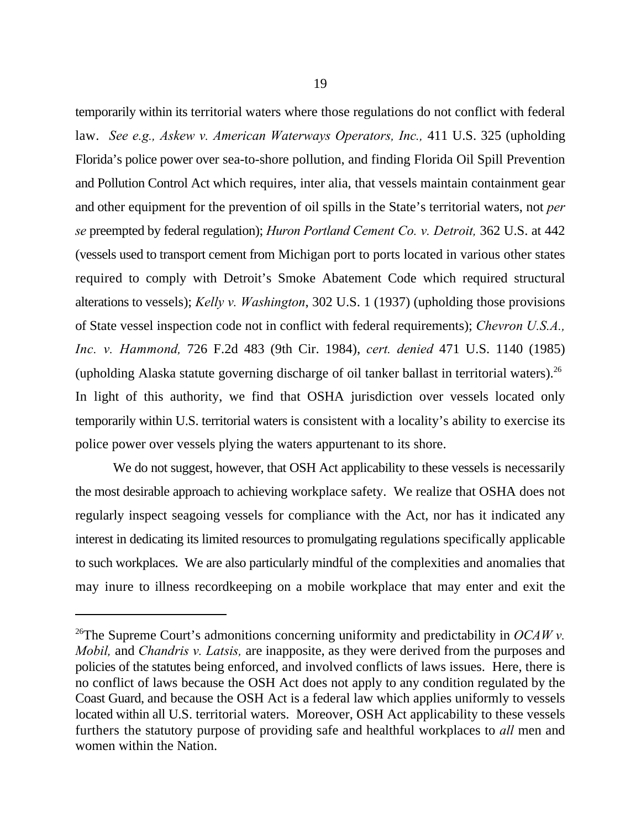temporarily within its territorial waters where those regulations do not conflict with federal law. *See e.g., Askew v. American Waterways Operators, Inc., 411 U.S. 325* (upholding Florida's police power over sea-to-shore pollution, and finding Florida Oil Spill Prevention and Pollution Control Act which requires, inter alia, that vessels maintain containment gear and other equipment for the prevention of oil spills in the State's territorial waters, not *per se* preempted by federal regulation); *Huron Portland Cement Co. v. Detroit,* 362 U.S. at 442 (vessels used to transport cement from Michigan port to ports located in various other states required to comply with Detroit's Smoke Abatement Code which required structural alterations to vessels); *Kelly v. Washington*, 302 U.S. 1 (1937) (upholding those provisions of State vessel inspection code not in conflict with federal requirements); *Chevron U.S.A., Inc. v. Hammond,* 726 F.2d 483 (9th Cir. 1984), *cert. denied* 471 U.S. 1140 (1985) (upholding Alaska statute governing discharge of oil tanker ballast in territorial waters).<sup>26</sup> In light of this authority, we find that OSHA jurisdiction over vessels located only temporarily within U.S. territorial waters is consistent with a locality's ability to exercise its police power over vessels plying the waters appurtenant to its shore.

We do not suggest, however, that OSH Act applicability to these vessels is necessarily the most desirable approach to achieving workplace safety. We realize that OSHA does not regularly inspect seagoing vessels for compliance with the Act, nor has it indicated any interest in dedicating its limited resources to promulgating regulations specifically applicable to such workplaces. We are also particularly mindful of the complexities and anomalies that may inure to illness recordkeeping on a mobile workplace that may enter and exit the

<sup>&</sup>lt;sup>26</sup>The Supreme Court's admonitions concerning uniformity and predictability in  $OCAWv$ . *Mobil,* and *Chandris v. Latsis,* are inapposite, as they were derived from the purposes and policies of the statutes being enforced, and involved conflicts of laws issues. Here, there is no conflict of laws because the OSH Act does not apply to any condition regulated by the Coast Guard, and because the OSH Act is a federal law which applies uniformly to vessels located within all U.S. territorial waters. Moreover, OSH Act applicability to these vessels furthers the statutory purpose of providing safe and healthful workplaces to *all* men and women within the Nation.